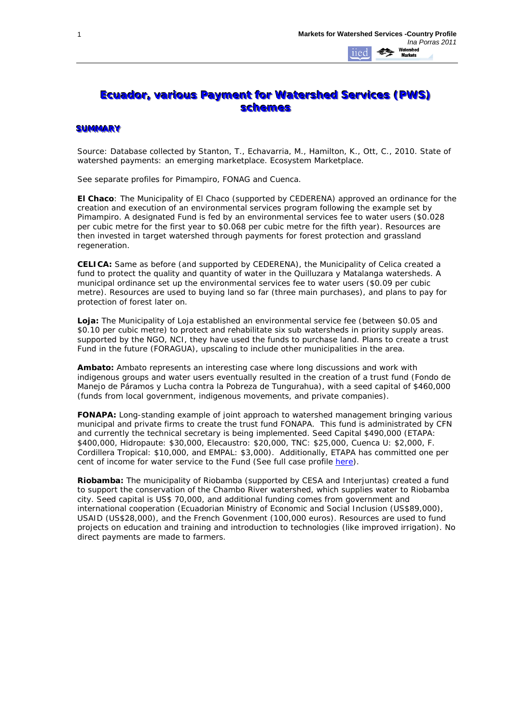## **Ecuador, various Payment for Watershed Services (PWS) schemes**

## **SUMMARY**

Source: Database collected by Stanton, T., Echavarria, M., Hamilton, K., Ott, C., 2010. State of watershed payments: an emerging marketplace. Ecosystem Marketplace.

See separate profiles for Pimampiro, FONAG and Cuenca.

**El Chaco**: The Municipality of El Chaco (supported by CEDERENA) approved an ordinance for the creation and execution of an environmental services program following the example set by Pimampiro. A designated Fund is fed by an environmental services fee to water users (\$0.028 per cubic metre for the first year to \$0.068 per cubic metre for the fifth year). Resources are then invested in target watershed through payments for forest protection and grassland regeneration.

**CELICA:** Same as before (and supported by CEDERENA), the Municipality of Celica created a fund to protect the quality and quantity of water in the Quilluzara y Matalanga watersheds. A municipal ordinance set up the environmental services fee to water users (\$0.09 per cubic metre). Resources are used to buying land so far (three main purchases), and plans to pay for protection of forest later on.

**Loja:** The Municipality of Loja established an environmental service fee (between \$0.05 and \$0.10 per cubic metre) to protect and rehabilitate six sub watersheds in priority supply areas. supported by the NGO, NCI, they have used the funds to purchase land. Plans to create a trust Fund in the future (FORAGUA), upscaling to include other municipalities in the area.

**Ambato:** Ambato represents an interesting case where long discussions and work with indigenous groups and water users eventually resulted in the creation of a trust fund (Fondo de Manejo de Páramos y Lucha contra la Pobreza de Tungurahua), with a seed capital of \$460,000 (funds from local government, indigenous movements, and private companies).

**FONAPA:** Long-standing example of joint approach to watershed management bringing various municipal and private firms to create the trust fund FONAPA. This fund is administrated by CFN and currently the technical secretary is being implemented. Seed Capital \$490,000 (ETAPA: \$400,000, Hidropaute: \$30,000, Elecaustro: \$20,000, TNC: \$25,000, Cuenca U: \$2,000, F. Cordillera Tropical: \$10,000, and EMPAL: \$3,000). Additionally, ETAPA has committed one per cent of income for water service to the Fund (See full case profile [here\)](http://www.watershedmarkets.org/casestudies/Ecuador_Cuenca_E.html).

**Riobamba:** The municipality of Riobamba (supported by CESA and Interjuntas) created a fund to support the conservation of the Chambo River watershed, which supplies water to Riobamba city. Seed capital is US\$ 70,000, and additional funding comes from government and international cooperation (Ecuadorian Ministry of Economic and Social Inclusion (US\$89,000), USAID (US\$28,000), and the French Govenment (100,000 euros). Resources are used to fund projects on education and training and introduction to technologies (like improved irrigation). No direct payments are made to farmers.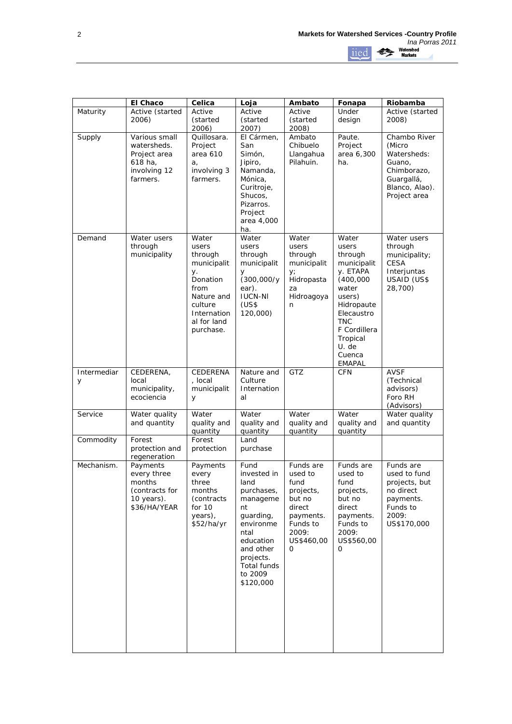|                  | El Chaco                                                                            | Celica                                                                                                                                 | Loja                                                                                                                                                                        | Ambato                                                                                                             | Fonapa                                                                                                                                                                                         | Riobamba                                                                                                       |
|------------------|-------------------------------------------------------------------------------------|----------------------------------------------------------------------------------------------------------------------------------------|-----------------------------------------------------------------------------------------------------------------------------------------------------------------------------|--------------------------------------------------------------------------------------------------------------------|------------------------------------------------------------------------------------------------------------------------------------------------------------------------------------------------|----------------------------------------------------------------------------------------------------------------|
| Maturity         | Active (started<br>2006)                                                            | Active<br>(started<br>2006)                                                                                                            | Active<br>(started<br>2007)                                                                                                                                                 | Active<br>(started<br>2008)                                                                                        | Under<br>design                                                                                                                                                                                | Active (started<br>2008)                                                                                       |
| Supply           | Various small<br>watersheds.<br>Project area<br>618 ha,<br>involving 12<br>farmers. | Quillosara.<br>Project<br>area 610<br>a,<br>involving 3<br>farmers.                                                                    | El Cármen,<br>San<br>Simón,<br>Jipiro,<br>Namanda,<br>Mónica,<br>Curitroje,<br>Shucos,<br>Pizarros.<br>Project<br>area 4,000<br>ha.                                         | Ambato<br>Chibuelo<br>Llangahua<br>Pilahuin.                                                                       | Paute.<br>Project<br>area 6,300<br>ha.                                                                                                                                                         | Chambo River<br>(Micro<br>Watersheds:<br>Guano,<br>Chimborazo,<br>Guargallá,<br>Blanco, Alao).<br>Project area |
| Demand           | Water users<br>through<br>municipality                                              | Water<br>users<br>through<br>municipalit<br>у.<br>Donation<br>from<br>Nature and<br>culture<br>Internation<br>al for land<br>purchase. | Water<br>users<br>through<br>municipalit<br>y<br>(300,000/y)<br>ear).<br><b>IUCN-NI</b><br>(US\$<br>120,000)                                                                | Water<br>users<br>through<br>municipalit<br>y;<br>Hidropasta<br>za<br>Hidroagoya<br>n                              | Water<br>users<br>through<br>municipalit<br>y. ETAPA<br>(400,000)<br>water<br>users)<br>Hidropaute<br>Elecaustro<br><b>TNC</b><br>F Cordillera<br>Tropical<br>U. de<br>Cuenca<br><b>EMAPAL</b> | Water users<br>through<br>municipality;<br><b>CESA</b><br>Interjuntas<br>USAID (US\$<br>28,700)                |
| Intermediar<br>У | CEDERENA,<br>local<br>municipality,<br>ecociencia                                   | CEDERENA<br>, local<br>municipalit<br>У                                                                                                | Nature and<br>Culture<br>Internation<br>al                                                                                                                                  | GTZ                                                                                                                | <b>CFN</b>                                                                                                                                                                                     | <b>AVSF</b><br>(Technical<br>advisors)<br>Foro RH<br>(Advisors)                                                |
| Service          | Water quality<br>and quantity                                                       | Water<br>quality and<br>quantity                                                                                                       | Water<br>quality and<br>quantity                                                                                                                                            | Water<br>quality and<br>quantity                                                                                   | Water<br>quality and<br>quantity                                                                                                                                                               | Water quality<br>and quantity                                                                                  |
| Commodity        | Forest<br>protection and<br>regeneration                                            | Forest<br>protection                                                                                                                   | Land<br>purchase                                                                                                                                                            |                                                                                                                    |                                                                                                                                                                                                |                                                                                                                |
| Mechanism.       | Payments<br>every three<br>months<br>(contracts for<br>10 years).<br>\$36/HA/YEAR   | Payments<br>every<br>three<br>months<br>(contracts)<br>for $10$<br>years),<br>\$52/ha/yr                                               | Fund<br>invested in<br>land<br>purchases,<br>manageme<br>nt<br>guarding,<br>environme<br>ntal<br>education<br>and other<br>projects.<br>Total funds<br>to 2009<br>\$120,000 | Funds are<br>used to<br>fund<br>projects,<br>but no<br>direct<br>payments.<br>Funds to<br>2009:<br>US\$460,00<br>0 | Funds are<br>used to<br>fund<br>projects,<br>but no<br>direct<br>payments.<br>Funds to<br>2009:<br>US\$560,00<br>0                                                                             | Funds are<br>used to fund<br>projects, but<br>no direct<br>payments.<br>Funds to<br>2009:<br>US\$170,000       |